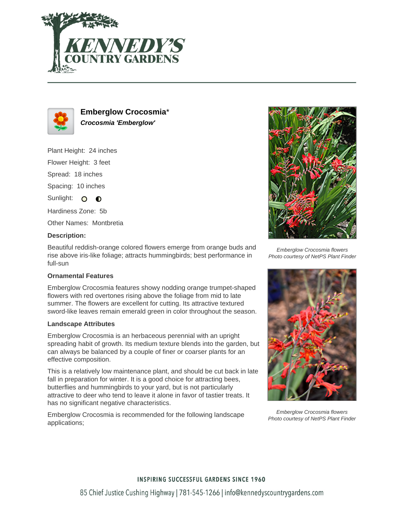



**Emberglow Crocosmia**\* **Crocosmia 'Emberglow'**

Plant Height: 24 inches

Flower Height: 3 feet

Spread: 18 inches

Spacing: 10 inches

Sunlight: O  $\bullet$ 

Hardiness Zone: 5b

Other Names: Montbretia

## **Description:**

Beautiful reddish-orange colored flowers emerge from orange buds and rise above iris-like foliage; attracts hummingbirds; best performance in full-sun

# **Ornamental Features**

Emberglow Crocosmia features showy nodding orange trumpet-shaped flowers with red overtones rising above the foliage from mid to late summer. The flowers are excellent for cutting. Its attractive textured sword-like leaves remain emerald green in color throughout the season.

#### **Landscape Attributes**

Emberglow Crocosmia is an herbaceous perennial with an upright spreading habit of growth. Its medium texture blends into the garden, but can always be balanced by a couple of finer or coarser plants for an effective composition.

This is a relatively low maintenance plant, and should be cut back in late fall in preparation for winter. It is a good choice for attracting bees, butterflies and hummingbirds to your yard, but is not particularly attractive to deer who tend to leave it alone in favor of tastier treats. It has no significant negative characteristics.

Emberglow Crocosmia is recommended for the following landscape applications;



Emberglow Crocosmia flowers Photo courtesy of NetPS Plant Finder



Emberglow Crocosmia flowers Photo courtesy of NetPS Plant Finder

# **INSPIRING SUCCESSFUL GARDENS SINCE 1960**